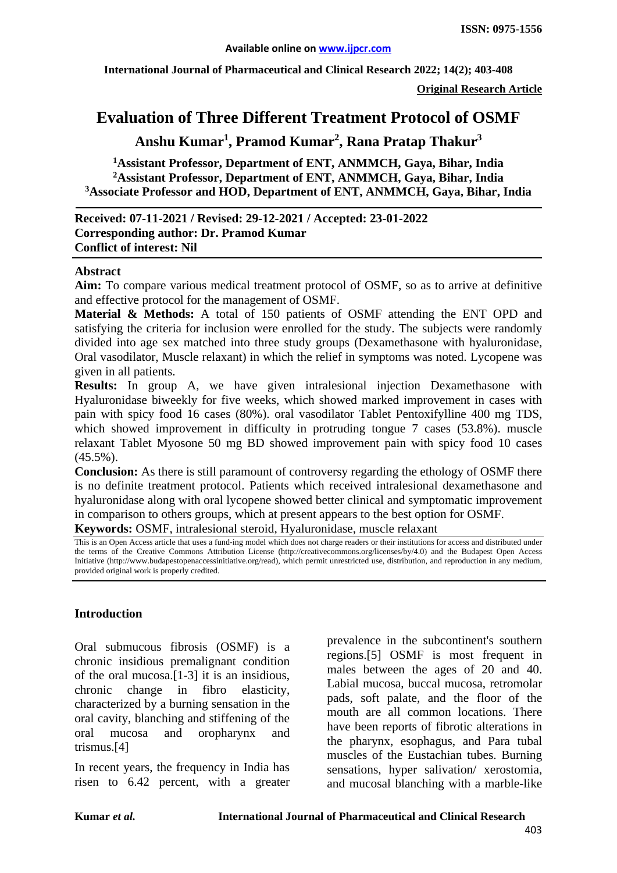**International Journal of Pharmaceutical and Clinical Research 2022; 14(2); 403-408**

**Original Research Article**

# **Evaluation of Three Different Treatment Protocol of OSMF**

**Anshu Kumar1 , Pramod Kumar2 , Rana Pratap Thakur3**

**1 Assistant Professor, Department of ENT, ANMMCH, Gaya, Bihar, India 2 Assistant Professor, Department of ENT, ANMMCH, Gaya, Bihar, India 3 Associate Professor and HOD, Department of ENT, ANMMCH, Gaya, Bihar, India**

#### **Received: 07-11-2021 / Revised: 29-12-2021 / Accepted: 23-01-2022 Corresponding author: Dr. Pramod Kumar Conflict of interest: Nil**

#### **Abstract**

**Aim:** To compare various medical treatment protocol of OSMF, so as to arrive at definitive and effective protocol for the management of OSMF.

**Material & Methods:** A total of 150 patients of OSMF attending the ENT OPD and satisfying the criteria for inclusion were enrolled for the study. The subjects were randomly divided into age sex matched into three study groups (Dexamethasone with hyaluronidase, Oral vasodilator, Muscle relaxant) in which the relief in symptoms was noted. Lycopene was given in all patients.

**Results:** In group A, we have given intralesional injection Dexamethasone with Hyaluronidase biweekly for five weeks, which showed marked improvement in cases with pain with spicy food 16 cases (80%). oral vasodilator Tablet Pentoxifylline 400 mg TDS, which showed improvement in difficulty in protruding tongue 7 cases (53.8%). muscle relaxant Tablet Myosone 50 mg BD showed improvement pain with spicy food 10 cases  $(45.5\%)$ .

**Conclusion:** As there is still paramount of controversy regarding the ethology of OSMF there is no definite treatment protocol. Patients which received intralesional dexamethasone and hyaluronidase along with oral lycopene showed better clinical and symptomatic improvement in comparison to others groups, which at present appears to the best option for OSMF.

**Keywords:** OSMF, intralesional steroid, Hyaluronidase, muscle relaxant

This is an Open Access article that uses a fund-ing model which does not charge readers or their institutions for access and distributed under the terms of the Creative Commons Attribution License (http://creativecommons.org/licenses/by/4.0) and the Budapest Open Access Initiative (http://www.budapestopenaccessinitiative.org/read), which permit unrestricted use, distribution, and reproduction in any medium, provided original work is properly credited.

#### **Introduction**

Oral submucous fibrosis (OSMF) is a chronic insidious premalignant condition of the oral mucosa.[1-3] it is an insidious, chronic change in fibro elasticity, characterized by a burning sensation in the oral cavity, blanching and stiffening of the oral mucosa and oropharynx and trismus.[4]

In recent years, the frequency in India has risen to 6.42 percent, with a greater prevalence in the subcontinent's southern regions.[5] OSMF is most frequent in males between the ages of 20 and 40. Labial mucosa, buccal mucosa, retromolar pads, soft palate, and the floor of the mouth are all common locations. There have been reports of fibrotic alterations in the pharynx, esophagus, and Para tubal muscles of the Eustachian tubes. Burning sensations, hyper salivation/ xerostomia, and mucosal blanching with a marble-like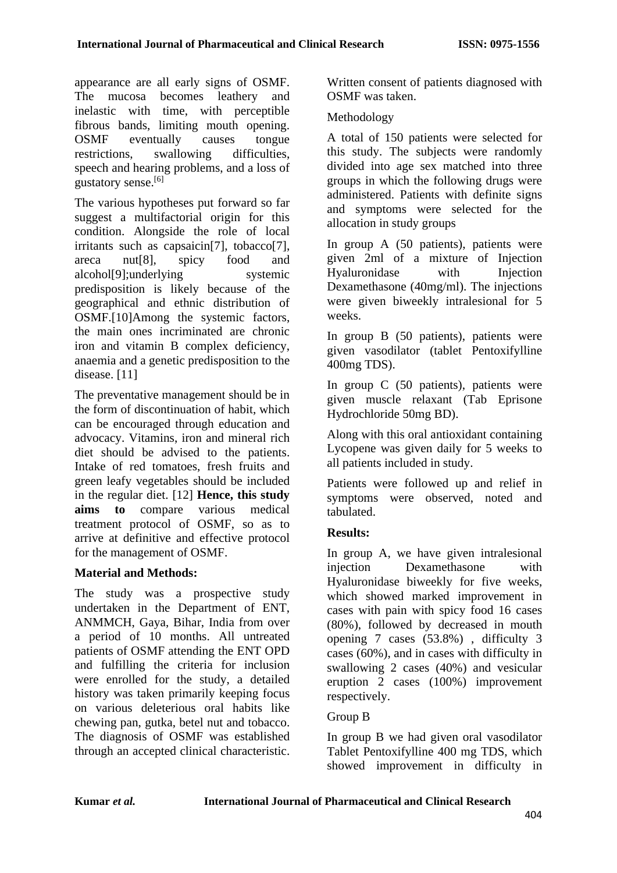appearance are all early signs of OSMF. The mucosa becomes leathery and inelastic with time, with perceptible fibrous bands, limiting mouth opening. OSMF eventually causes tongue restrictions, swallowing difficulties, speech and hearing problems, and a loss of gustatory sense.[6]

The various hypotheses put forward so far suggest a multifactorial origin for this condition. Alongside the role of local irritants such as capsaicin<sup>[7]</sup>, tobacco<sup>[7]</sup>, areca nut[8], spicy food and alcohol<sup>[9]</sup>;underlying systemic predisposition is likely because of the geographical and ethnic distribution of OSMF.[10]Among the systemic factors, the main ones incriminated are chronic iron and vitamin B complex deficiency, anaemia and a genetic predisposition to the disease. [11]

The preventative management should be in the form of discontinuation of habit, which can be encouraged through education and advocacy. Vitamins, iron and mineral rich diet should be advised to the patients. Intake of red tomatoes, fresh fruits and green leafy vegetables should be included in the regular diet. [12] **Hence, this study aims to** compare various medical treatment protocol of OSMF, so as to arrive at definitive and effective protocol for the management of OSMF.

## **Material and Methods:**

The study was a prospective study undertaken in the Department of ENT, ANMMCH, Gaya, Bihar, India from over a period of 10 months. All untreated patients of OSMF attending the ENT OPD and fulfilling the criteria for inclusion were enrolled for the study, a detailed history was taken primarily keeping focus on various deleterious oral habits like chewing pan, gutka, betel nut and tobacco. The diagnosis of OSMF was established through an accepted clinical characteristic. Written consent of patients diagnosed with OSMF was taken.

### Methodology

A total of 150 patients were selected for this study. The subjects were randomly divided into age sex matched into three groups in which the following drugs were administered. Patients with definite signs and symptoms were selected for the allocation in study groups

In group A (50 patients), patients were given 2ml of a mixture of Injection Hyaluronidase with Injection Dexamethasone (40mg/ml). The injections were given biweekly intralesional for 5 weeks.

In group B (50 patients), patients were given vasodilator (tablet Pentoxifylline 400mg TDS).

In group C (50 patients), patients were given muscle relaxant (Tab Eprisone Hydrochloride 50mg BD).

Along with this oral antioxidant containing Lycopene was given daily for 5 weeks to all patients included in study.

Patients were followed up and relief in symptoms were observed, noted and tabulated.

## **Results:**

In group A, we have given intralesional injection Dexamethasone with Hyaluronidase biweekly for five weeks, which showed marked improvement in cases with pain with spicy food 16 cases (80%), followed by decreased in mouth opening 7 cases (53.8%) , difficulty 3 cases (60%), and in cases with difficulty in swallowing 2 cases (40%) and vesicular eruption 2 cases (100%) improvement respectively.

## Group B

In group B we had given oral vasodilator Tablet Pentoxifylline 400 mg TDS, which showed improvement in difficulty in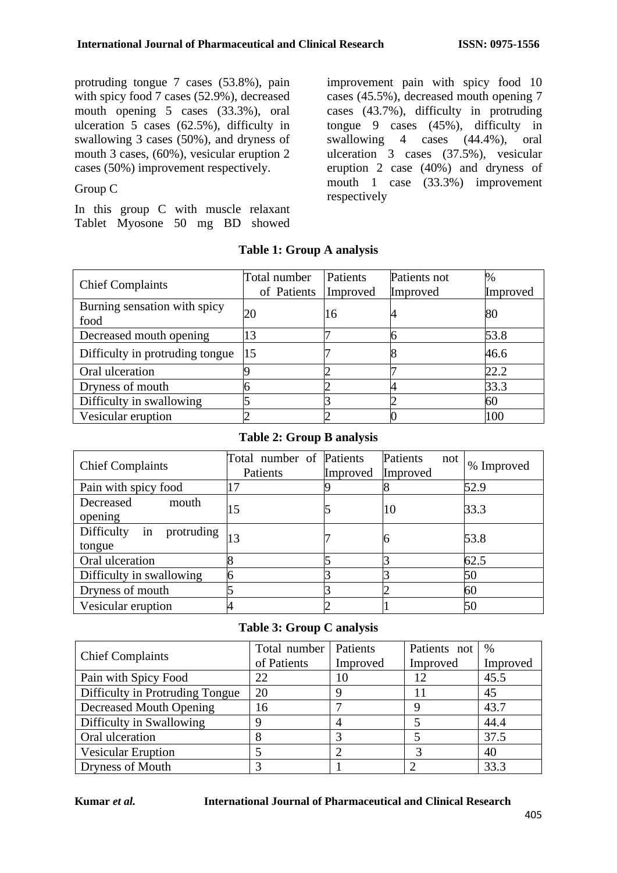protruding tongue 7 cases (53.8%), pain with spicy food 7 cases (52.9%), decreased mouth opening 5 cases (33.3%), oral ulceration 5 cases (62.5%), difficulty in swallowing 3 cases (50%), and dryness of mouth 3 cases, (60%), vesicular eruption 2 cases (50%) improvement respectively.

### Group C

In this group C with muscle relaxant Tablet Myosone 50 mg BD showed

improvement pain with spicy food 10 cases (45.5%), decreased mouth opening 7 cases (43.7%), difficulty in protruding tongue 9 cases (45%), difficulty in swallowing 4 cases (44.4%), oral ulceration 3 cases (37.5%), vesicular eruption 2 case (40%) and dryness of mouth 1 case (33.3%) improvement respectively

| <b>Chief Complaints</b>         | Total number | Patients | Patients not | %        |
|---------------------------------|--------------|----------|--------------|----------|
|                                 | of Patients  | Improved | Improved     | Improved |
| Burning sensation with spicy    | 20           |          |              |          |
| food                            |              | 16       |              | 80       |
| Decreased mouth opening         | 13           |          |              | 53.8     |
| Difficulty in protruding tongue | 15           |          |              | 46.6     |
| Oral ulceration                 |              |          |              | 22.2     |
| Dryness of mouth                |              |          |              | 33.3     |
| Difficulty in swallowing        |              |          |              | 60       |
| Vesicular eruption              |              |          |              | 100      |

### **Table 1: Group A analysis**

### **Table 2: Group B analysis**

| <b>Chief Complaints</b>                  | Total number of Patients<br>Patients | Improved | Patients<br>not<br>Improved | % Improved |
|------------------------------------------|--------------------------------------|----------|-----------------------------|------------|
| Pain with spicy food                     | 17                                   |          |                             | 52.9       |
| Decreased<br>mouth<br>opening            | 15                                   |          | 10                          | 33.3       |
| in<br>Difficulty<br>protruding<br>tongue | 13                                   |          | O                           | 53.8       |
| Oral ulceration                          |                                      |          |                             | 62.5       |
| Difficulty in swallowing                 |                                      |          |                             | 50         |
| Dryness of mouth                         |                                      |          |                             | 60         |
| Vesicular eruption                       |                                      |          |                             | 50         |

### **Table 3: Group C analysis**

| <b>Chief Complaints</b>         | Total number<br>of Patients | <b>Patients</b><br>Improved | Patients not<br>Improved | %<br>Improved |
|---------------------------------|-----------------------------|-----------------------------|--------------------------|---------------|
| Pain with Spicy Food            | 22                          | 10                          |                          | 45.5          |
| Difficulty in Protruding Tongue | 20                          |                             |                          | 45            |
| Decreased Mouth Opening         | 16                          |                             |                          | 43.7          |
| Difficulty in Swallowing        |                             |                             |                          | 44.4          |
| Oral ulceration                 |                             |                             |                          | 37.5          |
| <b>Vesicular Eruption</b>       |                             |                             |                          | 40            |
| Dryness of Mouth                |                             |                             |                          | 33.3          |

#### **Kumar** *et al.* **International Journal of Pharmaceutical and Clinical Research**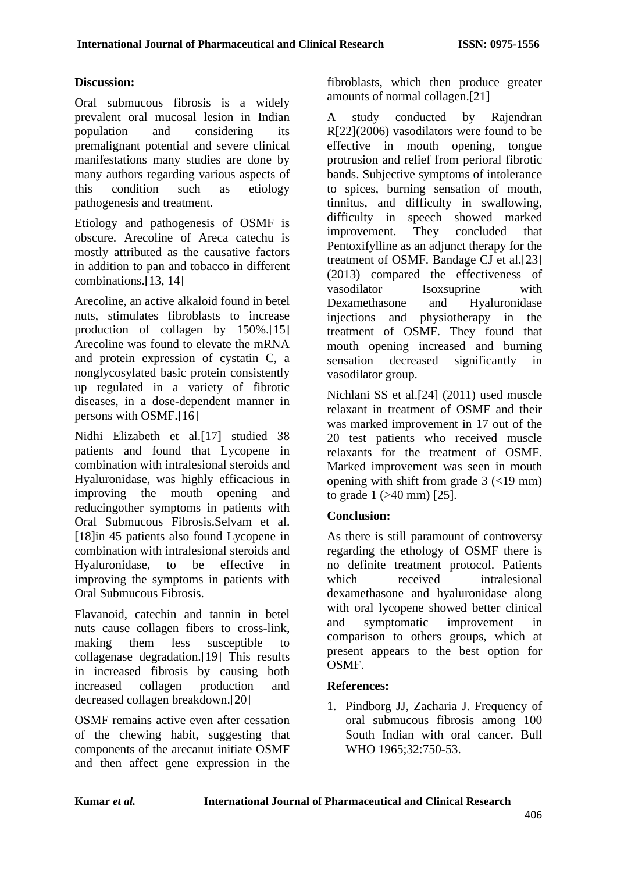### **Discussion:**

Oral submucous fibrosis is a widely prevalent oral mucosal lesion in Indian population and considering its premalignant potential and severe clinical manifestations many studies are done by many authors regarding various aspects of this condition such as etiology pathogenesis and treatment.

Etiology and pathogenesis of OSMF is obscure. Arecoline of Areca catechu is mostly attributed as the causative factors in addition to pan and tobacco in different combinations.[13, 14]

Arecoline, an active alkaloid found in betel nuts, stimulates fibroblasts to increase production of collagen by 150%.[15] Arecoline was found to elevate the mRNA and protein expression of cystatin C, a nonglycosylated basic protein consistently up regulated in a variety of fibrotic diseases, in a dose-dependent manner in persons with OSMF.[16]

Nidhi Elizabeth et al.[17] studied 38 patients and found that Lycopene in combination with intralesional steroids and Hyaluronidase, was highly efficacious in improving the mouth opening and reducingother symptoms in patients with Oral Submucous Fibrosis.Selvam et al. [18]in 45 patients also found Lycopene in combination with intralesional steroids and Hyaluronidase, to be effective in improving the symptoms in patients with Oral Submucous Fibrosis.

Flavanoid, catechin and tannin in betel nuts cause collagen fibers to cross-link, making them less susceptible to collagenase degradation.[19] This results in increased fibrosis by causing both increased collagen production and decreased collagen breakdown.[20]

OSMF remains active even after cessation of the chewing habit, suggesting that components of the arecanut initiate OSMF and then affect gene expression in the

fibroblasts, which then produce greater amounts of normal collagen.[21]

A study conducted by Rajendran R[22](2006) vasodilators were found to be effective in mouth opening, tongue protrusion and relief from perioral fibrotic bands. Subjective symptoms of intolerance to spices, burning sensation of mouth, tinnitus, and difficulty in swallowing, difficulty in speech showed marked improvement. They concluded that Pentoxifylline as an adjunct therapy for the treatment of OSMF. Bandage CJ et al.[23] (2013) compared the effectiveness of vasodilator Isoxsuprine with Dexamethasone and Hyaluronidase injections and physiotherapy in the treatment of OSMF. They found that mouth opening increased and burning<br>sensation decreased significantly in sensation decreased significantly in vasodilator group.

Nichlani SS et al.[24] (2011) used muscle relaxant in treatment of OSMF and their was marked improvement in 17 out of the 20 test patients who received muscle relaxants for the treatment of OSMF. Marked improvement was seen in mouth opening with shift from grade 3 (<19 mm) to grade 1 (>40 mm) [25].

## **Conclusion:**

As there is still paramount of controversy regarding the ethology of OSMF there is no definite treatment protocol. Patients which received intralesional dexamethasone and hyaluronidase along with oral lycopene showed better clinical and symptomatic improvement in comparison to others groups, which at present appears to the best option for OSMF.

### **References:**

1. Pindborg JJ, Zacharia J. Frequency of oral submucous fibrosis among 100 South Indian with oral cancer. Bull WHO 1965:32:750-53.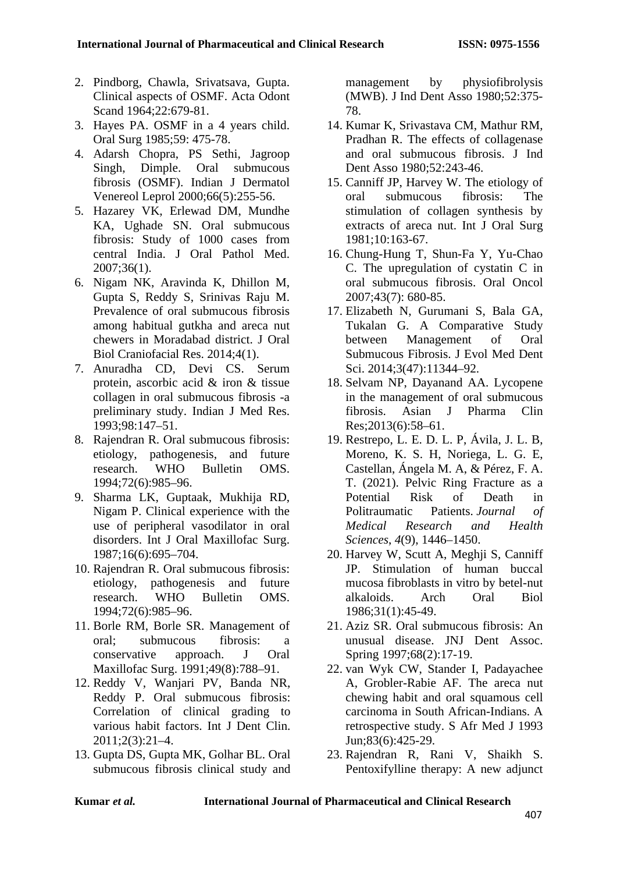- 2. Pindborg, Chawla, Srivatsava, Gupta. Clinical aspects of OSMF. Acta Odont Scand 1964;22:679-81.
- 3. Hayes PA. OSMF in a 4 years child. Oral Surg 1985;59: 475-78.
- 4. Adarsh Chopra, PS Sethi, Jagroop Singh, Dimple. Oral submucous fibrosis (OSMF). Indian J Dermatol Venereol Leprol 2000;66(5):255-56.
- 5. Hazarey VK, Erlewad DM, Mundhe KA, Ughade SN. Oral submucous fibrosis: Study of 1000 cases from central India. J Oral Pathol Med. 2007;36(1).
- 6. Nigam NK, Aravinda K, Dhillon M, Gupta S, Reddy S, Srinivas Raju M. Prevalence of oral submucous fibrosis among habitual gutkha and areca nut chewers in Moradabad district. J Oral Biol Craniofacial Res. 2014;4(1).
- 7. Anuradha CD, Devi CS. Serum protein, ascorbic acid & iron & tissue collagen in oral submucous fibrosis -a preliminary study. Indian J Med Res. 1993;98:147–51.
- 8. Rajendran R. Oral submucous fibrosis: etiology, pathogenesis, and future research. WHO Bulletin OMS. 1994;72(6):985–96.
- 9. Sharma LK, Guptaak, Mukhija RD, Nigam P. Clinical experience with the use of peripheral vasodilator in oral disorders. Int J Oral Maxillofac Surg. 1987;16(6):695–704.
- 10. Rajendran R. Oral submucous fibrosis: etiology, pathogenesis and future research. WHO Bulletin OMS. 1994;72(6):985–96.
- 11. Borle RM, Borle SR. Management of oral; submucous fibrosis: a conservative approach. J Oral Maxillofac Surg. 1991;49(8):788–91.
- 12. Reddy V, Wanjari PV, Banda NR, Reddy P. Oral submucous fibrosis: Correlation of clinical grading to various habit factors. Int J Dent Clin. 2011;2(3):21–4.
- 13. Gupta DS, Gupta MK, Golhar BL. Oral submucous fibrosis clinical study and

management by physiofibrolysis (MWB). J Ind Dent Asso 1980;52:375- 78.

- 14. Kumar K, Srivastava CM, Mathur RM, Pradhan R. The effects of collagenase and oral submucous fibrosis. J Ind Dent Asso 1980;52:243-46.
- 15. Canniff JP, Harvey W. The etiology of oral submucous fibrosis: The stimulation of collagen synthesis by extracts of areca nut. Int J Oral Surg 1981;10:163-67.
- 16. Chung-Hung T, Shun-Fa Y, Yu-Chao C. The upregulation of cystatin C in oral submucous fibrosis. Oral Oncol 2007;43(7): 680-85.
- 17. Elizabeth N, Gurumani S, Bala GA, Tukalan G. A Comparative Study between Management of Oral Submucous Fibrosis. J Evol Med Dent Sci. 2014;3(47):11344–92.
- 18. Selvam NP, Dayanand AA. Lycopene in the management of oral submucous fibrosis. Asian J Pharma Clin Res;2013(6):58–61.
- 19. Restrepo, L. E. D. L. P, Ávila, J. L. B, Moreno, K. S. H, Noriega, L. G. E, Castellan, Ángela M. A, & Pérez, F. A. T. (2021). Pelvic Ring Fracture as a Potential Risk of Death in Politraumatic Patients. *Journal of Medical Research and Health Sciences*, *4*(9), 1446–1450.
- 20. Harvey W, Scutt A, Meghji S, Canniff JP. Stimulation of human buccal mucosa fibroblasts in vitro by betel-nut alkaloids. Arch Oral Biol 1986;31(1):45-49.
- 21. Aziz SR. Oral submucous fibrosis: An unusual disease. JNJ Dent Assoc. Spring 1997;68(2):17-19.
- 22. van Wyk CW, Stander I, Padayachee A, Grobler-Rabie AF. The areca nut chewing habit and oral squamous cell carcinoma in South African-Indians. A retrospective study. S Afr Med J 1993 Jun;83(6):425-29.
- 23. Rajendran R, Rani V, Shaikh S. Pentoxifylline therapy: A new adjunct